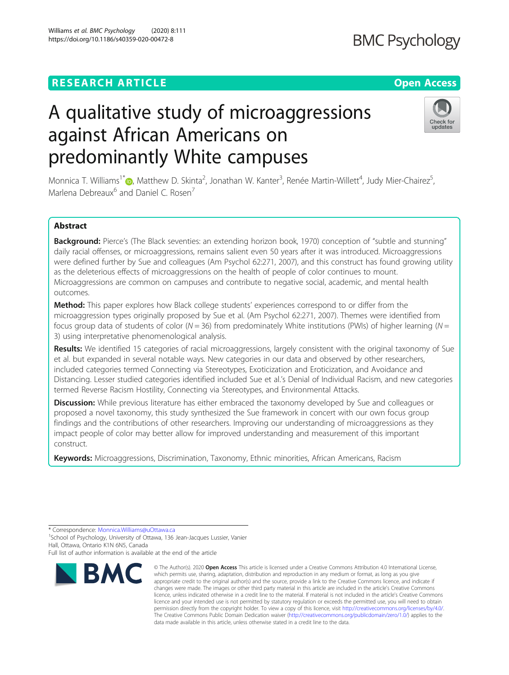## **RESEARCH ARTICLE Example 2014 12:30 The Contract of Contract ACCESS**

# A qualitative study of microaggressions against African Americans on predominantly White campuses



Monnica T. Williams<sup>1\*</sup>�, Matthew D. Skinta<sup>2</sup>, Jonathan W. Kanter<sup>3</sup>, Renée Martin-Willett<sup>4</sup>, Judy Mier-Chairez<sup>5</sup> , Marlena Debreaux<sup>6</sup> and Daniel C. Rosen<sup>7</sup>

## Abstract

Background: Pierce's (The Black seventies: an extending horizon book, 1970) conception of "subtle and stunning" daily racial offenses, or microaggressions, remains salient even 50 years after it was introduced. Microaggressions were defined further by Sue and colleagues (Am Psychol 62:271, 2007), and this construct has found growing utility as the deleterious effects of microaggressions on the health of people of color continues to mount. Microaggressions are common on campuses and contribute to negative social, academic, and mental health outcomes.

**Method:** This paper explores how Black college students' experiences correspond to or differ from the microaggression types originally proposed by Sue et al. (Am Psychol 62:271, 2007). Themes were identified from focus group data of students of color ( $N = 36$ ) from predominately White institutions (PWIs) of higher learning ( $N =$ 3) using interpretative phenomenological analysis.

Results: We identified 15 categories of racial microaggressions, largely consistent with the original taxonomy of Sue et al. but expanded in several notable ways. New categories in our data and observed by other researchers, included categories termed Connecting via Stereotypes, Exoticization and Eroticization, and Avoidance and Distancing. Lesser studied categories identified included Sue et al.'s Denial of Individual Racism, and new categories termed Reverse Racism Hostility, Connecting via Stereotypes, and Environmental Attacks.

**Discussion:** While previous literature has either embraced the taxonomy developed by Sue and colleagues or proposed a novel taxonomy, this study synthesized the Sue framework in concert with our own focus group findings and the contributions of other researchers. Improving our understanding of microaggressions as they impact people of color may better allow for improved understanding and measurement of this important construct.

Keywords: Microaggressions, Discrimination, Taxonomy, Ethnic minorities, African Americans, Racism

<sup>1</sup>School of Psychology, University of Ottawa, 136 Jean-Jacques Lussier, Vanier Hall, Ottawa, Ontario K1N 6N5, Canada

Full list of author information is available at the end of the article



<sup>©</sup> The Author(s), 2020 **Open Access** This article is licensed under a Creative Commons Attribution 4.0 International License, which permits use, sharing, adaptation, distribution and reproduction in any medium or format, as long as you give appropriate credit to the original author(s) and the source, provide a link to the Creative Commons licence, and indicate if changes were made. The images or other third party material in this article are included in the article's Creative Commons licence, unless indicated otherwise in a credit line to the material. If material is not included in the article's Creative Commons licence and your intended use is not permitted by statutory regulation or exceeds the permitted use, you will need to obtain permission directly from the copyright holder. To view a copy of this licence, visit [http://creativecommons.org/licenses/by/4.0/.](http://creativecommons.org/licenses/by/4.0/) The Creative Commons Public Domain Dedication waiver [\(http://creativecommons.org/publicdomain/zero/1.0/](http://creativecommons.org/publicdomain/zero/1.0/)) applies to the data made available in this article, unless otherwise stated in a credit line to the data.

<sup>\*</sup> Correspondence: [Monnica.Williams@uOttawa.ca](mailto:Monnica.Williams@uOttawa.ca) <sup>1</sup>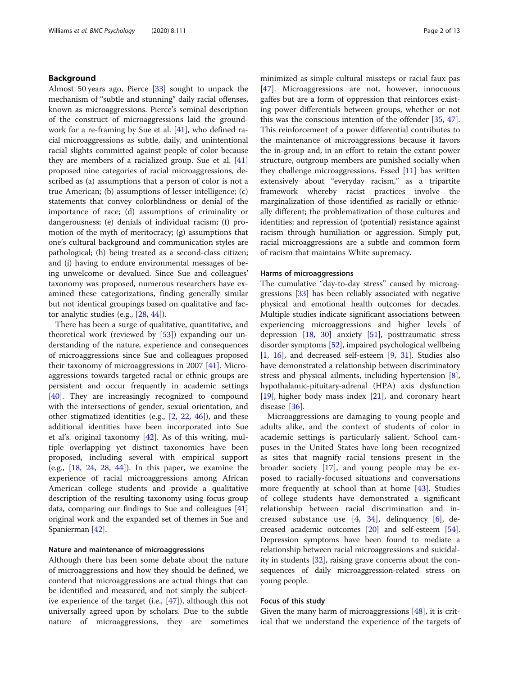#### Background

Almost 50 years ago, Pierce [\[33](#page-11-0)] sought to unpack the mechanism of "subtle and stunning" daily racial offenses, known as microaggressions. Pierce's seminal description of the construct of microaggressions laid the groundwork for a re-framing by Sue et al. [[41\]](#page-11-0), who defined racial microaggressions as subtle, daily, and unintentional racial slights committed against people of color because they are members of a racialized group. Sue et al. [[41](#page-11-0)] proposed nine categories of racial microaggressions, described as (a) assumptions that a person of color is not a true American; (b) assumptions of lesser intelligence; (c) statements that convey colorblindness or denial of the importance of race; (d) assumptions of criminality or dangerousness; (e) denials of individual racism; (f) promotion of the myth of meritocracy; (g) assumptions that one's cultural background and communication styles are pathological; (h) being treated as a second-class citizen; and (i) having to endure environmental messages of being unwelcome or devalued. Since Sue and colleagues' taxonomy was proposed, numerous researchers have examined these categorizations, finding generally similar but not identical groupings based on qualitative and factor analytic studies (e.g., [[28,](#page-11-0) [44\]](#page-11-0)).

There has been a surge of qualitative, quantitative, and theoretical work (reviewed by [\[53](#page-12-0)]) expanding our understanding of the nature, experience and consequences of microaggressions since Sue and colleagues proposed their taxonomy of microaggressions in 2007 [[41\]](#page-11-0). Microaggressions towards targeted racial or ethnic groups are persistent and occur frequently in academic settings [[40\]](#page-11-0). They are increasingly recognized to compound with the intersections of gender, sexual orientation, and other stigmatized identities (e.g., [[2](#page-11-0), [22,](#page-11-0) [46\]](#page-11-0)), and these additional identities have been incorporated into Sue et al's. original taxonomy [\[42](#page-11-0)]. As of this writing, multiple overlapping yet distinct taxonomies have been proposed, including several with empirical support (e.g., [[18,](#page-11-0) [24,](#page-11-0) [28,](#page-11-0) [44\]](#page-11-0)). In this paper, we examine the experience of racial microaggressions among African American college students and provide a qualitative description of the resulting taxonomy using focus group data, comparing our findings to Sue and colleagues [[41](#page-11-0)] original work and the expanded set of themes in Sue and Spanierman [\[42\]](#page-11-0).

#### Nature and maintenance of microaggressions

Although there has been some debate about the nature of microaggressions and how they should be defined, we contend that microaggressions are actual things that can be identified and measured, and not simply the subjective experience of the target (i.e., [\[47\]](#page-12-0)), although this not universally agreed upon by scholars. Due to the subtle nature of microaggressions, they are sometimes minimized as simple cultural missteps or racial faux pas [[47\]](#page-12-0). Microaggressions are not, however, innocuous gaffes but are a form of oppression that reinforces existing power differentials between groups, whether or not this was the conscious intention of the offender [\[35](#page-11-0), [47](#page-12-0)]. This reinforcement of a power differential contributes to the maintenance of microaggressions because it favors the in-group and, in an effort to retain the extant power structure, outgroup members are punished socially when they challenge microaggressions. Essed [[11](#page-11-0)] has written extensively about "everyday racism," as a tripartite framework whereby racist practices involve the marginalization of those identified as racially or ethnically different; the problematization of those cultures and identities; and repression of (potential) resistance against racism through humiliation or aggression. Simply put, racial microaggressions are a subtle and common form of racism that maintains White supremacy.

#### Harms of microaggressions

The cumulative "day-to-day stress" caused by microaggressions [[33](#page-11-0)] has been reliably associated with negative physical and emotional health outcomes for decades. Multiple studies indicate significant associations between experiencing microaggressions and higher levels of depression [\[18,](#page-11-0) [30](#page-11-0)] anxiety [[51](#page-12-0)], posttraumatic stress disorder symptoms [[52\]](#page-12-0), impaired psychological wellbeing [[1,](#page-11-0) [16](#page-11-0)], and decreased self-esteem [[9,](#page-11-0) [31\]](#page-11-0). Studies also have demonstrated a relationship between discriminatory stress and physical ailments, including hypertension [\[8](#page-11-0)], hypothalamic-pituitary-adrenal (HPA) axis dysfunction [[19\]](#page-11-0), higher body mass index [[21\]](#page-11-0), and coronary heart disease [\[36](#page-11-0)].

Microaggressions are damaging to young people and adults alike, and the context of students of color in academic settings is particularly salient. School campuses in the United States have long been recognized as sites that magnify racial tensions present in the broader society [\[17](#page-11-0)], and young people may be exposed to racially-focused situations and conversations more frequently at school than at home [[43\]](#page-11-0). Studies of college students have demonstrated a significant relationship between racial discrimination and increased substance use  $[4, 34]$  $[4, 34]$  $[4, 34]$  $[4, 34]$  $[4, 34]$ , delinquency  $[6]$  $[6]$  $[6]$ , decreased academic outcomes [\[20\]](#page-11-0) and self-esteem [[54](#page-12-0)]. Depression symptoms have been found to mediate a relationship between racial microaggressions and suicidality in students [\[32\]](#page-11-0), raising grave concerns about the consequences of daily microaggression-related stress on young people.

#### Focus of this study

Given the many harm of microaggressions [[48\]](#page-12-0), it is critical that we understand the experience of the targets of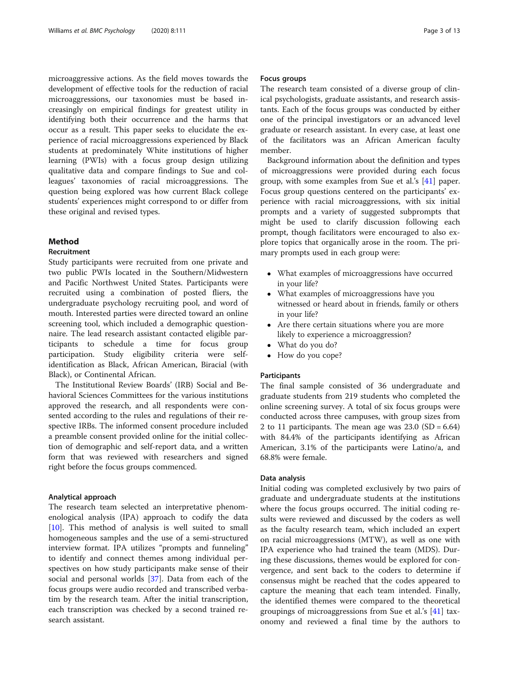microaggressive actions. As the field moves towards the development of effective tools for the reduction of racial microaggressions, our taxonomies must be based increasingly on empirical findings for greatest utility in identifying both their occurrence and the harms that occur as a result. This paper seeks to elucidate the experience of racial microaggressions experienced by Black students at predominately White institutions of higher learning (PWIs) with a focus group design utilizing qualitative data and compare findings to Sue and colleagues' taxonomies of racial microaggressions. The question being explored was how current Black college students' experiences might correspond to or differ from these original and revised types.

### Method

#### Recruitment

Study participants were recruited from one private and two public PWIs located in the Southern/Midwestern and Pacific Northwest United States. Participants were recruited using a combination of posted fliers, the undergraduate psychology recruiting pool, and word of mouth. Interested parties were directed toward an online screening tool, which included a demographic questionnaire. The lead research assistant contacted eligible participants to schedule a time for focus group participation. Study eligibility criteria were selfidentification as Black, African American, Biracial (with Black), or Continental African.

The Institutional Review Boards' (IRB) Social and Behavioral Sciences Committees for the various institutions approved the research, and all respondents were consented according to the rules and regulations of their respective IRBs. The informed consent procedure included a preamble consent provided online for the initial collection of demographic and self-report data, and a written form that was reviewed with researchers and signed right before the focus groups commenced.

#### Analytical approach

The research team selected an interpretative phenomenological analysis (IPA) approach to codify the data [[10\]](#page-11-0). This method of analysis is well suited to small homogeneous samples and the use of a semi-structured interview format. IPA utilizes "prompts and funneling" to identify and connect themes among individual perspectives on how study participants make sense of their social and personal worlds [\[37](#page-11-0)]. Data from each of the focus groups were audio recorded and transcribed verbatim by the research team. After the initial transcription, each transcription was checked by a second trained research assistant.

#### Focus groups

The research team consisted of a diverse group of clinical psychologists, graduate assistants, and research assistants. Each of the focus groups was conducted by either one of the principal investigators or an advanced level graduate or research assistant. In every case, at least one of the facilitators was an African American faculty member.

Background information about the definition and types of microaggressions were provided during each focus group, with some examples from Sue et al.'s [[41\]](#page-11-0) paper. Focus group questions centered on the participants' experience with racial microaggressions, with six initial prompts and a variety of suggested subprompts that might be used to clarify discussion following each prompt, though facilitators were encouraged to also explore topics that organically arose in the room. The primary prompts used in each group were:

- What examples of microaggressions have occurred in your life?
- What examples of microaggressions have you witnessed or heard about in friends, family or others in your life?
- Are there certain situations where you are more likely to experience a microaggression?
- What do you do?
- How do you cope?

#### Participants

The final sample consisted of 36 undergraduate and graduate students from 219 students who completed the online screening survey. A total of six focus groups were conducted across three campuses, with group sizes from 2 to 11 participants. The mean age was  $23.0$  (SD = 6.64) with 84.4% of the participants identifying as African American, 3.1% of the participants were Latino/a, and 68.8% were female.

#### Data analysis

Initial coding was completed exclusively by two pairs of graduate and undergraduate students at the institutions where the focus groups occurred. The initial coding results were reviewed and discussed by the coders as well as the faculty research team, which included an expert on racial microaggressions (MTW), as well as one with IPA experience who had trained the team (MDS). During these discussions, themes would be explored for convergence, and sent back to the coders to determine if consensus might be reached that the codes appeared to capture the meaning that each team intended. Finally, the identified themes were compared to the theoretical groupings of microaggressions from Sue et al.'s [\[41](#page-11-0)] taxonomy and reviewed a final time by the authors to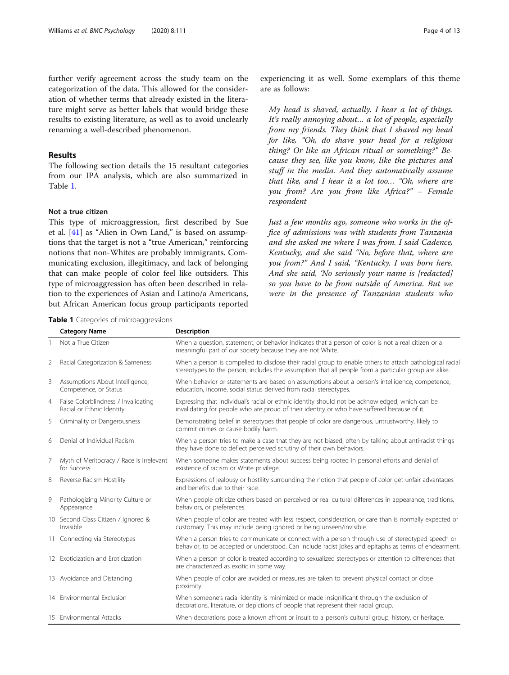further verify agreement across the study team on the categorization of the data. This allowed for the consideration of whether terms that already existed in the literature might serve as better labels that would bridge these results to existing literature, as well as to avoid unclearly renaming a well-described phenomenon.

#### Results

The following section details the 15 resultant categories from our IPA analysis, which are also summarized in Table 1.

#### Not a true citizen

This type of microaggression, first described by Sue et al. [[41](#page-11-0)] as "Alien in Own Land," is based on assumptions that the target is not a "true American," reinforcing notions that non-Whites are probably immigrants. Communicating exclusion, illegitimacy, and lack of belonging that can make people of color feel like outsiders. This type of microaggression has often been described in relation to the experiences of Asian and Latino/a Americans, but African American focus group participants reported

experiencing it as well. Some exemplars of this theme are as follows:

My head is shaved, actually. I hear a lot of things. It's really annoying about… a lot of people, especially from my friends. They think that I shaved my head for like, "Oh, do shave your head for a religious thing? Or like an African ritual or something?" Because they see, like you know, like the pictures and stuff in the media. And they automatically assume that like, and I hear it a lot too… "Oh, where are you from? Are you from like Africa?" – Female respondent

Just a few months ago, someone who works in the office of admissions was with students from Tanzania and she asked me where I was from. I said Cadence, Kentucky, and she said "No, before that, where are you from?" And I said, "Kentucky. I was born here. And she said, 'No seriously your name is [redacted] so you have to be from outside of America. But we were in the presence of Tanzanian students who

Table 1 Categories of microaggressions

|                | <b>Category Name</b>                                             | <b>Description</b>                                                                                                                                                                                                |
|----------------|------------------------------------------------------------------|-------------------------------------------------------------------------------------------------------------------------------------------------------------------------------------------------------------------|
|                | Not a True Citizen                                               | When a question, statement, or behavior indicates that a person of color is not a real citizen or a<br>meaningful part of our society because they are not White.                                                 |
| 2              | Racial Categorization & Sameness                                 | When a person is compelled to disclose their racial group to enable others to attach pathological racial<br>stereotypes to the person; includes the assumption that all people from a particular group are alike. |
| 3              | Assumptions About Intelligence,<br>Competence, or Status         | When behavior or statements are based on assumptions about a person's intelligence, competence,<br>education, income, social status derived from racial stereotypes.                                              |
| $\overline{4}$ | False Colorblindness / Invalidating<br>Racial or Ethnic Identity | Expressing that individual's racial or ethnic identity should not be acknowledged, which can be<br>invalidating for people who are proud of their identity or who have suffered because of it.                    |
| 5              | Criminality or Dangerousness                                     | Demonstrating belief in stereotypes that people of color are dangerous, untrustworthy, likely to<br>commit crimes or cause bodily harm.                                                                           |
| 6              | Denial of Individual Racism                                      | When a person tries to make a case that they are not biased, often by talking about anti-racist things<br>they have done to deflect perceived scrutiny of their own behaviors.                                    |
| 7              | Myth of Meritocracy / Race is Irrelevant<br>for Success          | When someone makes statements about success being rooted in personal efforts and denial of<br>existence of racism or White privilege.                                                                             |
| 8              | Reverse Racism Hostility                                         | Expressions of jealousy or hostility surrounding the notion that people of color get unfair advantages<br>and benefits due to their race.                                                                         |
| 9              | Pathologizing Minority Culture or<br>Appearance                  | When people criticize others based on perceived or real cultural differences in appearance, traditions,<br>behaviors, or preferences.                                                                             |
|                | 10 Second Class Citizen / Ignored &<br>Invisible                 | When people of color are treated with less respect, consideration, or care than is normally expected or<br>customary. This may include being ignored or being unseen/invisible.                                   |
|                | 11 Connecting via Stereotypes                                    | When a person tries to communicate or connect with a person through use of stereotyped speech or<br>behavior, to be accepted or understood. Can include racist jokes and epitaphs as terms of endearment.         |
|                | 12 Exoticization and Eroticization                               | When a person of color is treated according to sexualized stereotypes or attention to differences that<br>are characterized as exotic in some way.                                                                |
|                | 13 Avoidance and Distancing                                      | When people of color are avoided or measures are taken to prevent physical contact or close<br>proximity.                                                                                                         |
|                | 14 Environmental Exclusion                                       | When someone's racial identity is minimized or made insignificant through the exclusion of<br>decorations, literature, or depictions of people that represent their racial group.                                 |
|                | 15 Environmental Attacks                                         | When decorations pose a known affront or insult to a person's cultural group, history, or heritage.                                                                                                               |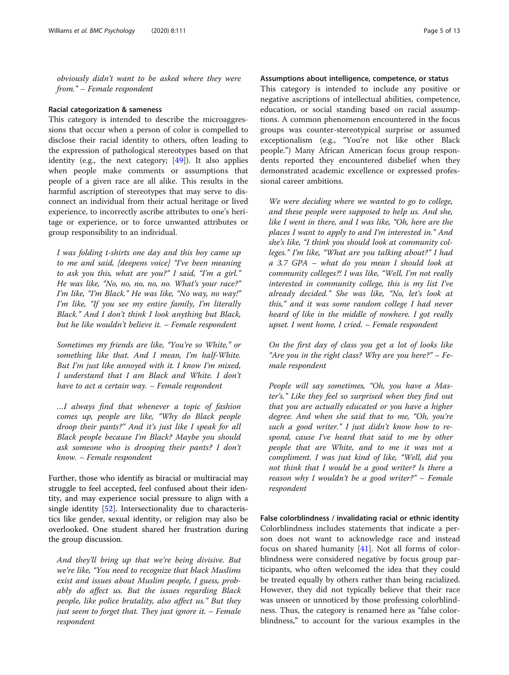obviously didn't want to be asked where they were from." – Female respondent

#### Racial categorization & sameness

This category is intended to describe the microaggressions that occur when a person of color is compelled to disclose their racial identity to others, often leading to the expression of pathological stereotypes based on that identity (e.g., the next category;  $[49]$  $[49]$ ). It also applies when people make comments or assumptions that people of a given race are all alike. This results in the harmful ascription of stereotypes that may serve to disconnect an individual from their actual heritage or lived experience, to incorrectly ascribe attributes to one's heritage or experience, or to force unwanted attributes or group responsibility to an individual.

I was folding t-shirts one day and this boy came up to me and said, [deepens voice] "I've been meaning to ask you this, what are you?" I said, "I'm a girl." He was like, "No, no, no, no, no. What's your race?" I'm like, "I'm Black." He was like, "No way, no way!" I'm like, "If you see my entire family, I'm literally Black." And I don't think I look anything but Black, but he like wouldn't believe it. – Female respondent

Sometimes my friends are like, "You're so White," or something like that. And I mean, I'm half-White. But I'm just like annoyed with it. I know I'm mixed, I understand that I am Black and White. I don't have to act a certain way. – Female respondent

…I always find that whenever a topic of fashion comes up, people are like, "Why do Black people droop their pants?" And it's just like I speak for all Black people because I'm Black? Maybe you should ask someone who is drooping their pants? I don't know. – Female respondent

Further, those who identify as biracial or multiracial may struggle to feel accepted, feel confused about their identity, and may experience social pressure to align with a single identity [\[52](#page-12-0)]. Intersectionality due to characteristics like gender, sexual identity, or religion may also be overlooked. One student shared her frustration during the group discussion.

And they'll bring up that we're being divisive. But we're like, "You need to recognize that black Muslims exist and issues about Muslim people, I guess, probably do affect us. But the issues regarding Black people, like police brutality, also affect us." But they just seem to forget that. They just ignore it. – Female respondent

#### Assumptions about intelligence, competence, or status

This category is intended to include any positive or negative ascriptions of intellectual abilities, competence, education, or social standing based on racial assumptions. A common phenomenon encountered in the focus groups was counter-stereotypical surprise or assumed exceptionalism (e.g., "You're not like other Black people.") Many African American focus group respondents reported they encountered disbelief when they demonstrated academic excellence or expressed professional career ambitions.

We were deciding where we wanted to go to college, and these people were supposed to help us. And she, like I went in there, and I was like, "Oh, here are the places I want to apply to and I'm interested in." And she's like, "I think you should look at community colleges." I'm like, "What are you talking about?" I had a 3.7 GPA – what do you mean I should look at community colleges?! I was like, "Well, I'm not really interested in community college, this is my list I've already decided." She was like, "No, let's look at this," and it was some random college I had never heard of like in the middle of nowhere. I got really upset. I went home, I cried. – Female respondent

On the first day of class you get a lot of looks like "Are you in the right class? Why are you here?" – Female respondent

People will say sometimes, "Oh, you have a Master's." Like they feel so surprised when they find out that you are actually educated or you have a higher degree. And when she said that to me, "Oh, you're such a good writer." I just didn't know how to respond, cause I've heard that said to me by other people that are White, and to me it was not a compliment. I was just kind of like, "Well, did you not think that I would be a good writer? Is there a reason why I wouldn't be a good writer?" – Female respondent

False colorblindness / invalidating racial or ethnic identity Colorblindness includes statements that indicate a person does not want to acknowledge race and instead focus on shared humanity [[41\]](#page-11-0). Not all forms of colorblindness were considered negative by focus group participants, who often welcomed the idea that they could be treated equally by others rather than being racialized. However, they did not typically believe that their race was unseen or unnoticed by those professing colorblindness. Thus, the category is renamed here as "false colorblindness," to account for the various examples in the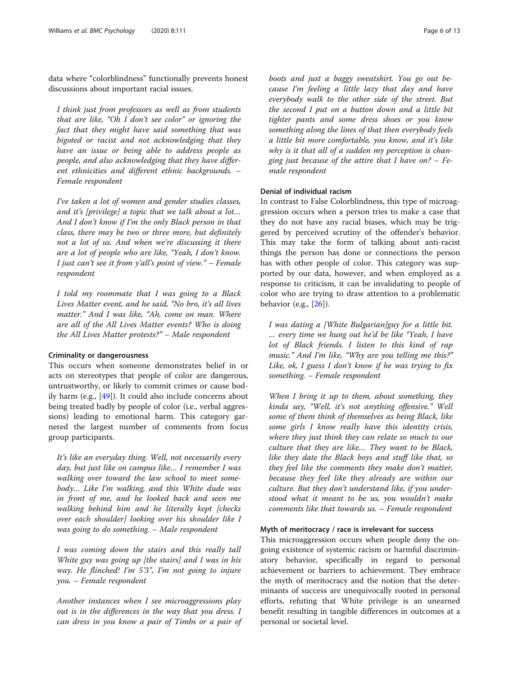data where "colorblindness" functionally prevents honest discussions about important racial issues.

I think just from professors as well as from students that are like, "Oh I don't see color" or ignoring the fact that they might have said something that was bigoted or racist and not acknowledging that they have an issue or being able to address people as people, and also acknowledging that they have different ethnicities and different ethnic backgrounds. – Female respondent

I've taken a lot of women and gender studies classes, and it's [privilege] a topic that we talk about a lot… And I don't know if I'm the only Black person in that class, there may be two or three more, but definitely not a lot of us. And when we're discussing it there are a lot of people who are like, "Yeah, I don't know. I just can't see it from y'all's point of view." – Female respondent

I told my roommate that I was going to a Black Lives Matter event, and he said, "No bro, it's all lives matter." And I was like, "Ah, come on man. Where are all of the All Lives Matter events? Who is doing the All Lives Matter protests?" – Male respondent

#### Criminality or dangerousness

This occurs when someone demonstrates belief in or acts on stereotypes that people of color are dangerous, untrustworthy, or likely to commit crimes or cause bodily harm (e.g., [\[49\]](#page-12-0)). It could also include concerns about being treated badly by people of color (i.e., verbal aggressions) leading to emotional harm. This category garnered the largest number of comments from focus group participants.

It's like an everyday thing. Well, not necessarily every day, but just like on campus like… I remember I was walking over toward the law school to meet somebody… Like I'm walking, and this White dude was in front of me, and he looked back and seen me walking behind him and he literally kept [checks over each shoulder] looking over his shoulder like I was going to do something. – Male respondent

I was coming down the stairs and this really tall White guy was going up [the stairs] and I was in his way. He flinched! I'm 5'3", I'm not going to injure you. – Female respondent

Another instances when I see microaggressions play out is in the differences in the way that you dress. I can dress in you know a pair of Timbs or a pair of boots and just a baggy sweatshirt. You go out because I'm feeling a little lazy that day and have everybody walk to the other side of the street. But the second I put on a button down and a little bit tighter pants and some dress shoes or you know something along the lines of that then everybody feels a little bit more comfortable, you know, and it's like why is it that all of a sudden my perception is changing just because of the attire that I have on?  $-$  Female respondent

#### Denial of individual racism

In contrast to False Colorblindness, this type of microaggression occurs when a person tries to make a case that they do not have any racial biases, which may be triggered by perceived scrutiny of the offender's behavior. This may take the form of talking about anti-racist things the person has done or connections the person has with other people of color. This category was supported by our data, however, and when employed as a response to criticism, it can be invalidating to people of color who are trying to draw attention to a problematic behavior (e.g.,  $[26]$  $[26]$  $[26]$ ).

I was dating a [White Bulgarian]guy for a little bit. … every time we hung out he'd be like "Yeah, I have lot of Black friends. I listen to this kind of rap music." And I'm like, "Why are you telling me this?" Like, ok, I guess I don't know if he was trying to fix something. – Female respondent

When I bring it up to them, about something, they kinda say, "Well, it's not anything offensive." Well some of them think of themselves as being Black, like some girls I know really have this identity crisis, where they just think they can relate so much to our culture that they are like… They want to be Black, like they date the Black boys and stuff like that, so they feel like the comments they make don't matter, because they feel like they already are within our culture. But they don't understand like, if you understood what it meant to be us, you wouldn't make comments like that towards us. – Female respondent

#### Myth of meritocracy / race is irrelevant for success

This microaggression occurs when people deny the ongoing existence of systemic racism or harmful discriminatory behavior, specifically in regard to personal achievement or barriers to achievement. They embrace the myth of meritocracy and the notion that the determinants of success are unequivocally rooted in personal efforts, refuting that White privilege is an unearned benefit resulting in tangible differences in outcomes at a personal or societal level.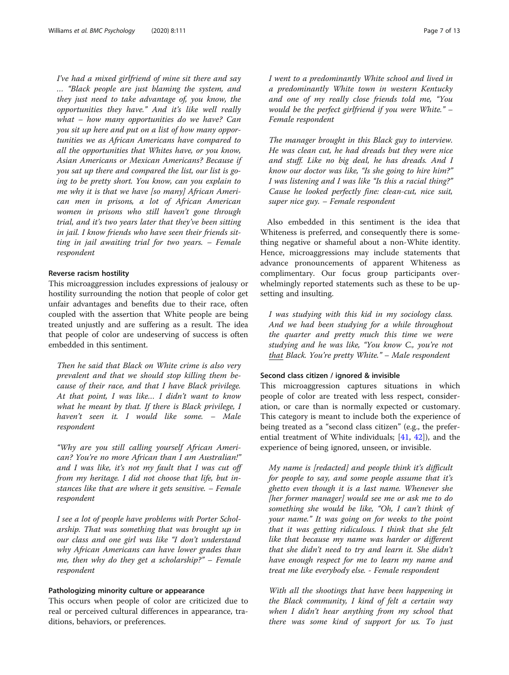I've had a mixed girlfriend of mine sit there and say … "Black people are just blaming the system, and they just need to take advantage of, you know, the opportunities they have." And it's like well really what – how many opportunities do we have? Can you sit up here and put on a list of how many opportunities we as African Americans have compared to all the opportunities that Whites have, or you know, Asian Americans or Mexican Americans? Because if you sat up there and compared the list, our list is going to be pretty short. You know, can you explain to me why it is that we have [so many] African American men in prisons, a lot of African American women in prisons who still haven't gone through trial, and it's two years later that they've been sitting in jail. I know friends who have seen their friends sitting in jail awaiting trial for two years. – Female respondent

#### Reverse racism hostility

This microaggression includes expressions of jealousy or hostility surrounding the notion that people of color get unfair advantages and benefits due to their race, often coupled with the assertion that White people are being treated unjustly and are suffering as a result. The idea that people of color are undeserving of success is often embedded in this sentiment.

Then he said that Black on White crime is also very prevalent and that we should stop killing them because of their race, and that I have Black privilege. At that point, I was like… I didn't want to know what he meant by that. If there is Black privilege, I haven't seen it. I would like some. – Male respondent

"Why are you still calling yourself African American? You're no more African than I am Australian!" and I was like, it's not my fault that I was cut off from my heritage. I did not choose that life, but instances like that are where it gets sensitive. – Female respondent

I see a lot of people have problems with Porter Scholarship. That was something that was brought up in our class and one girl was like "I don't understand why African Americans can have lower grades than me, then why do they get a scholarship?" – Female respondent

#### Pathologizing minority culture or appearance

This occurs when people of color are criticized due to real or perceived cultural differences in appearance, traditions, behaviors, or preferences.

I went to a predominantly White school and lived in a predominantly White town in western Kentucky and one of my really close friends told me, "You would be the perfect girlfriend if you were White." – Female respondent

The manager brought in this Black guy to interview. He was clean cut, he had dreads but they were nice and stuff. Like no big deal, he has dreads. And I know our doctor was like, "Is she going to hire him?" I was listening and I was like "Is this a racial thing?" Cause he looked perfectly fine: clean-cut, nice suit, super nice guy. – Female respondent

Also embedded in this sentiment is the idea that Whiteness is preferred, and consequently there is something negative or shameful about a non-White identity. Hence, microaggressions may include statements that advance pronouncements of apparent Whiteness as complimentary. Our focus group participants overwhelmingly reported statements such as these to be upsetting and insulting.

I was studying with this kid in my sociology class. And we had been studying for a while throughout the quarter and pretty much this time we were studying and he was like, "You know C., you're not that Black. You're pretty White." – Male respondent

#### Second class citizen / ignored & invisible

This microaggression captures situations in which people of color are treated with less respect, consideration, or care than is normally expected or customary. This category is meant to include both the experience of being treated as a "second class citizen" (e.g., the preferential treatment of White individuals; [[41,](#page-11-0) [42\]](#page-11-0)), and the experience of being ignored, unseen, or invisible.

My name is [redacted] and people think it's difficult for people to say, and some people assume that it's ghetto even though it is a last name. Whenever she [her former manager] would see me or ask me to do something she would be like, "Oh, I can't think of your name." It was going on for weeks to the point that it was getting ridiculous. I think that she felt like that because my name was harder or different that she didn't need to try and learn it. She didn't have enough respect for me to learn my name and treat me like everybody else. - Female respondent

With all the shootings that have been happening in the Black community, I kind of felt a certain way when I didn't hear anything from my school that there was some kind of support for us. To just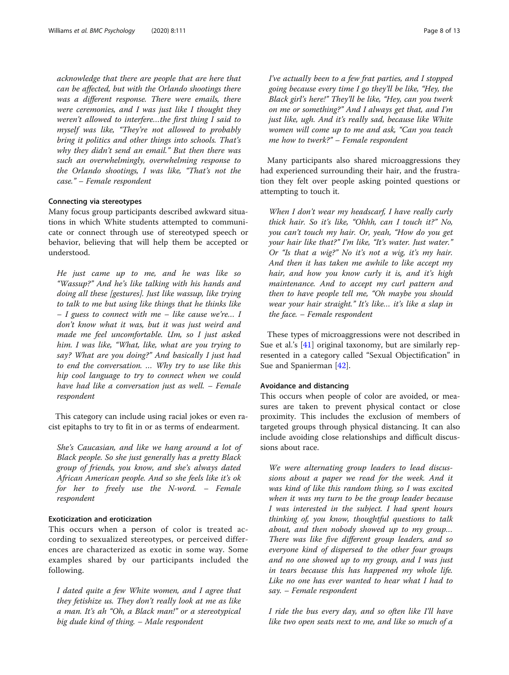acknowledge that there are people that are here that can be affected, but with the Orlando shootings there was a different response. There were emails, there were ceremonies, and I was just like I thought they weren't allowed to interfere…the first thing I said to myself was like, "They're not allowed to probably bring it politics and other things into schools. That's why they didn't send an email." But then there was such an overwhelmingly, overwhelming response to the Orlando shootings, I was like, "That's not the case." – Female respondent

#### Connecting via stereotypes

Many focus group participants described awkward situations in which White students attempted to communicate or connect through use of stereotyped speech or behavior, believing that will help them be accepted or understood.

He just came up to me, and he was like so "Wassup?" And he's like talking with his hands and doing all these [gestures]. Just like wassup, like trying to talk to me but using like things that he thinks like  $-$  I guess to connect with me  $-$  like cause we're... I don't know what it was, but it was just weird and made me feel uncomfortable. Um, so I just asked him. I was like, "What, like, what are you trying to say? What are you doing?" And basically I just had to end the conversation. … Why try to use like this hip cool language to try to connect when we could have had like a conversation just as well. – Female respondent

This category can include using racial jokes or even racist epitaphs to try to fit in or as terms of endearment.

She's Caucasian, and like we hang around a lot of Black people. So she just generally has a pretty Black group of friends, you know, and she's always dated African American people. And so she feels like it's ok for her to freely use the N-word. – Female respondent

#### Exoticization and eroticization

This occurs when a person of color is treated according to sexualized stereotypes, or perceived differences are characterized as exotic in some way. Some examples shared by our participants included the following.

I dated quite a few White women, and I agree that they fetishize us. They don't really look at me as like a man. It's ah "Oh, a Black man!" or a stereotypical big dude kind of thing. – Male respondent

I've actually been to a few frat parties, and I stopped going because every time I go they'll be like, "Hey, the Black girl's here!" They'll be like, "Hey, can you twerk on me or something?" And I always get that, and I'm just like, ugh. And it's really sad, because like White women will come up to me and ask, "Can you teach me how to twerk?" – Female respondent

Many participants also shared microaggressions they had experienced surrounding their hair, and the frustration they felt over people asking pointed questions or attempting to touch it.

When I don't wear my headscarf, I have really curly thick hair. So it's like, "Ohhh, can I touch it?" No, you can't touch my hair. Or, yeah, "How do you get your hair like that?" I'm like, "It's water. Just water." Or "Is that a wig?" No it's not a wig, it's my hair. And then it has taken me awhile to like accept my hair, and how you know curly it is, and it's high maintenance. And to accept my curl pattern and then to have people tell me, "Oh maybe you should wear your hair straight." It's like… it's like a slap in the face. – Female respondent

These types of microaggressions were not described in Sue et al.'s [[41\]](#page-11-0) original taxonomy, but are similarly represented in a category called "Sexual Objectification" in Sue and Spanierman [\[42\]](#page-11-0).

#### Avoidance and distancing

This occurs when people of color are avoided, or measures are taken to prevent physical contact or close proximity. This includes the exclusion of members of targeted groups through physical distancing. It can also include avoiding close relationships and difficult discussions about race.

We were alternating group leaders to lead discussions about a paper we read for the week. And it was kind of like this random thing, so I was excited when it was my turn to be the group leader because I was interested in the subject. I had spent hours thinking of, you know, thoughtful questions to talk about, and then nobody showed up to my group… There was like five different group leaders, and so everyone kind of dispersed to the other four groups and no one showed up to my group, and I was just in tears because this has happened my whole life. Like no one has ever wanted to hear what I had to say. – Female respondent

I ride the bus every day, and so often like I'll have like two open seats next to me, and like so much of a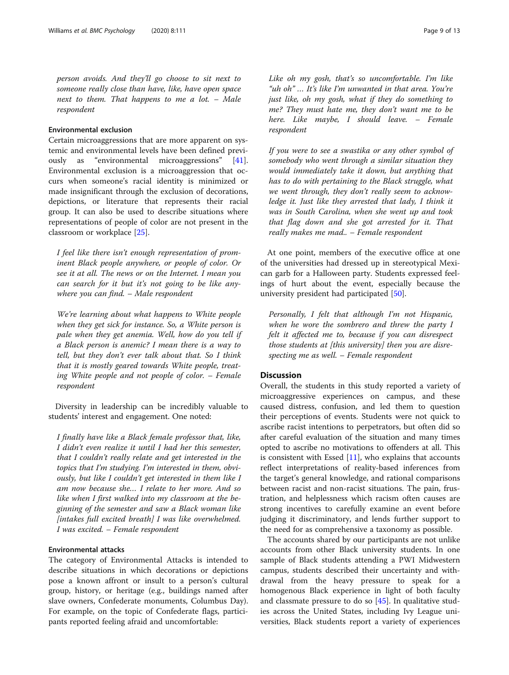person avoids. And they'll go choose to sit next to someone really close than have, like, have open space next to them. That happens to me a lot. – Male respondent

#### Environmental exclusion

Certain microaggressions that are more apparent on systemic and environmental levels have been defined previously as "environmental microaggressions" [\[41](#page-11-0)]. Environmental exclusion is a microaggression that occurs when someone's racial identity is minimized or made insignificant through the exclusion of decorations, depictions, or literature that represents their racial group. It can also be used to describe situations where representations of people of color are not present in the classroom or workplace [[25\]](#page-11-0).

I feel like there isn't enough representation of prominent Black people anywhere, or people of color. Or see it at all. The news or on the Internet. I mean you can search for it but it's not going to be like anywhere you can find. - Male respondent

We're learning about what happens to White people when they get sick for instance. So, a White person is pale when they get anemia. Well, how do you tell if a Black person is anemic? I mean there is a way to tell, but they don't ever talk about that. So I think that it is mostly geared towards White people, treating White people and not people of color. – Female respondent

Diversity in leadership can be incredibly valuable to students' interest and engagement. One noted:

I finally have like a Black female professor that, like, I didn't even realize it until I had her this semester, that I couldn't really relate and get interested in the topics that I'm studying. I'm interested in them, obviously, but like I couldn't get interested in them like I am now because she… I relate to her more. And so like when I first walked into my classroom at the beginning of the semester and saw a Black woman like [intakes full excited breath] I was like overwhelmed. I was excited. – Female respondent

#### Environmental attacks

The category of Environmental Attacks is intended to describe situations in which decorations or depictions pose a known affront or insult to a person's cultural group, history, or heritage (e.g., buildings named after slave owners, Confederate monuments, Columbus Day). For example, on the topic of Confederate flags, participants reported feeling afraid and uncomfortable:

Like oh my gosh, that's so uncomfortable. I'm like "uh oh" … It's like I'm unwanted in that area. You're just like, oh my gosh, what if they do something to me? They must hate me, they don't want me to be here. Like maybe, I should leave. – Female respondent

If you were to see a swastika or any other symbol of somebody who went through a similar situation they would immediately take it down, but anything that has to do with pertaining to the Black struggle, what we went through, they don't really seem to acknowledge it. Just like they arrested that lady, I think it was in South Carolina, when she went up and took that flag down and she got arrested for it. That really makes me mad.. – Female respondent

At one point, members of the executive office at one of the universities had dressed up in stereotypical Mexican garb for a Halloween party. Students expressed feelings of hurt about the event, especially because the university president had participated [[50](#page-12-0)].

Personally, I felt that although I'm not Hispanic, when he wore the sombrero and threw the party I felt it affected me to, because if you can disrespect those students at [this university] then you are disrespecting me as well. – Female respondent

#### **Discussion**

Overall, the students in this study reported a variety of microaggressive experiences on campus, and these caused distress, confusion, and led them to question their perceptions of events. Students were not quick to ascribe racist intentions to perpetrators, but often did so after careful evaluation of the situation and many times opted to ascribe no motivations to offenders at all. This is consistent with Essed  $[11]$  $[11]$  $[11]$ , who explains that accounts reflect interpretations of reality-based inferences from the target's general knowledge, and rational comparisons between racist and non-racist situations. The pain, frustration, and helplessness which racism often causes are strong incentives to carefully examine an event before judging it discriminatory, and lends further support to the need for as comprehensive a taxonomy as possible.

The accounts shared by our participants are not unlike accounts from other Black university students. In one sample of Black students attending a PWI Midwestern campus, students described their uncertainty and withdrawal from the heavy pressure to speak for a homogenous Black experience in light of both faculty and classmate pressure to do so [\[45](#page-11-0)]. In qualitative studies across the United States, including Ivy League universities, Black students report a variety of experiences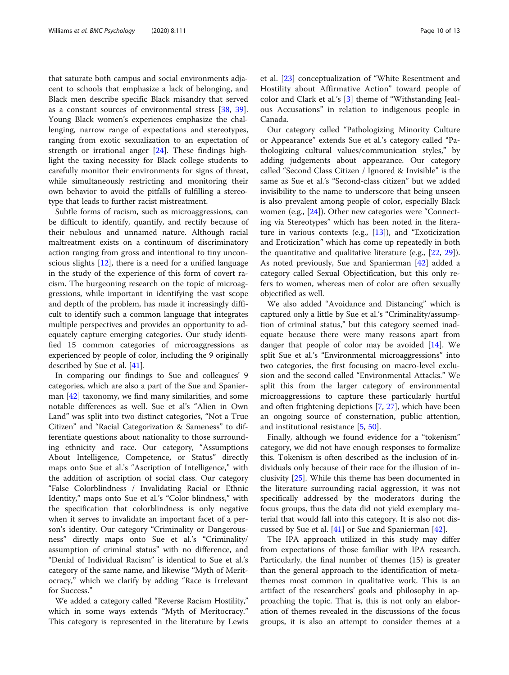that saturate both campus and social environments adjacent to schools that emphasize a lack of belonging, and Black men describe specific Black misandry that served as a constant sources of environmental stress [[38,](#page-11-0) [39](#page-11-0)]. Young Black women's experiences emphasize the challenging, narrow range of expectations and stereotypes, ranging from exotic sexualization to an expectation of strength or irrational anger [\[24\]](#page-11-0). These findings highlight the taxing necessity for Black college students to carefully monitor their environments for signs of threat, while simultaneously restricting and monitoring their own behavior to avoid the pitfalls of fulfilling a stereotype that leads to further racist mistreatment.

Subtle forms of racism, such as microaggressions, can be difficult to identify, quantify, and rectify because of their nebulous and unnamed nature. Although racial maltreatment exists on a continuum of discriminatory action ranging from gross and intentional to tiny unconscious slights  $[12]$  $[12]$ , there is a need for a unified language in the study of the experience of this form of covert racism. The burgeoning research on the topic of microaggressions, while important in identifying the vast scope and depth of the problem, has made it increasingly difficult to identify such a common language that integrates multiple perspectives and provides an opportunity to adequately capture emerging categories. Our study identified 15 common categories of microaggressions as experienced by people of color, including the 9 originally described by Sue et al. [\[41](#page-11-0)].

In comparing our findings to Sue and colleagues' 9 categories, which are also a part of the Sue and Spanierman [[42\]](#page-11-0) taxonomy, we find many similarities, and some notable differences as well. Sue et al's "Alien in Own Land" was split into two distinct categories, "Not a True Citizen" and "Racial Categorization & Sameness" to differentiate questions about nationality to those surrounding ethnicity and race. Our category, "Assumptions About Intelligence, Competence, or Status" directly maps onto Sue et al.'s "Ascription of Intelligence," with the addition of ascription of social class. Our category "False Colorblindness / Invalidating Racial or Ethnic Identity," maps onto Sue et al.'s "Color blindness," with the specification that colorblindness is only negative when it serves to invalidate an important facet of a person's identity. Our category "Criminality or Dangerousness" directly maps onto Sue et al.'s "Criminality/ assumption of criminal status" with no difference, and "Denial of Individual Racism" is identical to Sue et al.'s category of the same name, and likewise "Myth of Meritocracy," which we clarify by adding "Race is Irrelevant for Success."

We added a category called "Reverse Racism Hostility," which in some ways extends "Myth of Meritocracy." This category is represented in the literature by Lewis et al. [\[23](#page-11-0)] conceptualization of "White Resentment and Hostility about Affirmative Action" toward people of color and Clark et al.'s [\[3](#page-11-0)] theme of "Withstanding Jealous Accusations" in relation to indigenous people in Canada.

Our category called "Pathologizing Minority Culture or Appearance" extends Sue et al.'s category called "Pathologizing cultural values/communication styles," by adding judgements about appearance. Our category called "Second Class Citizen / Ignored & Invisible" is the same as Sue et al.'s "Second-class citizen" but we added invisibility to the name to underscore that being unseen is also prevalent among people of color, especially Black women (e.g., [[24](#page-11-0)]). Other new categories were "Connecting via Stereotypes" which has been noted in the literature in various contexts (e.g., [[13\]](#page-11-0)), and "Exoticization and Eroticization" which has come up repeatedly in both the quantitative and qualitative literature (e.g., [[22](#page-11-0), [29](#page-11-0)]). As noted previously, Sue and Spanierman [[42](#page-11-0)] added a category called Sexual Objectification, but this only refers to women, whereas men of color are often sexually objectified as well.

We also added "Avoidance and Distancing" which is captured only a little by Sue et al.'s "Criminality/assumption of criminal status," but this category seemed inadequate because there were many reasons apart from danger that people of color may be avoided  $[14]$  $[14]$ . We split Sue et al.'s "Environmental microaggressions" into two categories, the first focusing on macro-level exclusion and the second called "Environmental Attacks." We split this from the larger category of environmental microaggressions to capture these particularly hurtful and often frightening depictions [\[7](#page-11-0), [27](#page-11-0)], which have been an ongoing source of consternation, public attention, and institutional resistance [[5,](#page-11-0) [50\]](#page-12-0).

Finally, although we found evidence for a "tokenism" category, we did not have enough responses to formalize this. Tokenism is often described as the inclusion of individuals only because of their race for the illusion of inclusivity [\[25](#page-11-0)]. While this theme has been documented in the literature surrounding racial aggression, it was not specifically addressed by the moderators during the focus groups, thus the data did not yield exemplary material that would fall into this category. It is also not discussed by Sue et al. [\[41](#page-11-0)] or Sue and Spanierman [\[42](#page-11-0)].

The IPA approach utilized in this study may differ from expectations of those familiar with IPA research. Particularly, the final number of themes (15) is greater than the general approach to the identification of metathemes most common in qualitative work. This is an artifact of the researchers' goals and philosophy in approaching the topic. That is, this is not only an elaboration of themes revealed in the discussions of the focus groups, it is also an attempt to consider themes at a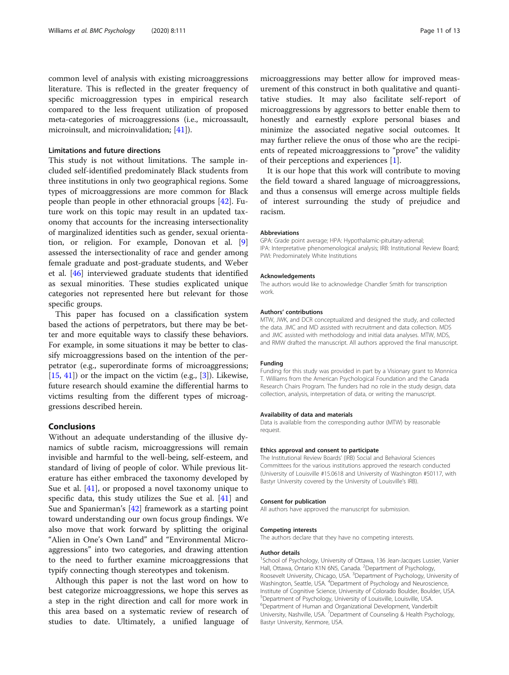common level of analysis with existing microaggressions literature. This is reflected in the greater frequency of specific microaggression types in empirical research compared to the less frequent utilization of proposed meta-categories of microaggressions (i.e., microassault, microinsult, and microinvalidation; [[41](#page-11-0)]).

#### Limitations and future directions

This study is not without limitations. The sample included self-identified predominately Black students from three institutions in only two geographical regions. Some types of microaggressions are more common for Black people than people in other ethnoracial groups [\[42\]](#page-11-0). Future work on this topic may result in an updated taxonomy that accounts for the increasing intersectionality of marginalized identities such as gender, sexual orientation, or religion. For example, Donovan et al. [\[9](#page-11-0)] assessed the intersectionality of race and gender among female graduate and post-graduate students, and Weber et al. [\[46\]](#page-11-0) interviewed graduate students that identified as sexual minorities. These studies explicated unique categories not represented here but relevant for those specific groups.

This paper has focused on a classification system based the actions of perpetrators, but there may be better and more equitable ways to classify these behaviors. For example, in some situations it may be better to classify microaggressions based on the intention of the perpetrator (e.g., superordinate forms of microaggressions;  $[15, 41]$  $[15, 41]$  $[15, 41]$  $[15, 41]$  or the impact on the victim (e.g.,  $[3]$  $[3]$ ). Likewise, future research should examine the differential harms to victims resulting from the different types of microaggressions described herein.

#### Conclusions

Without an adequate understanding of the illusive dynamics of subtle racism, microaggressions will remain invisible and harmful to the well-being, self-esteem, and standard of living of people of color. While previous literature has either embraced the taxonomy developed by Sue et al. [\[41](#page-11-0)], or proposed a novel taxonomy unique to specific data, this study utilizes the Sue et al. [\[41\]](#page-11-0) and Sue and Spanierman's [\[42](#page-11-0)] framework as a starting point toward understanding our own focus group findings. We also move that work forward by splitting the original "Alien in One's Own Land" and "Environmental Microaggressions" into two categories, and drawing attention to the need to further examine microaggressions that typify connecting though stereotypes and tokenism.

Although this paper is not the last word on how to best categorize microaggressions, we hope this serves as a step in the right direction and call for more work in this area based on a systematic review of research of studies to date. Ultimately, a unified language of

microaggressions may better allow for improved measurement of this construct in both qualitative and quantitative studies. It may also facilitate self-report of microaggressions by aggressors to better enable them to honestly and earnestly explore personal biases and minimize the associated negative social outcomes. It may further relieve the onus of those who are the recipients of repeated microaggressions to "prove" the validity of their perceptions and experiences [\[1](#page-11-0)].

It is our hope that this work will contribute to moving the field toward a shared language of microaggressions, and thus a consensus will emerge across multiple fields of interest surrounding the study of prejudice and racism.

#### Abbreviations

GPA: Grade point average; HPA: Hypothalamic-pituitary-adrenal; IPA: Interpretative phenomenological analysis; IRB: Institutional Review Board; PWI: Predominately White Institutions

#### Acknowledgements

The authors would like to acknowledge Chandler Smith for transcription work.

#### Authors' contributions

MTW, JWK, and DCR conceptualized and designed the study, and collected the data. JMC and MD assisted with recruitment and data collection. MDS and JMC assisted with methodology and initial data analyses. MTW, MDS, and RMW drafted the manuscript. All authors approved the final manuscript.

#### Funding

Funding for this study was provided in part by a Visionary grant to Monnica T. Williams from the American Psychological Foundation and the Canada Research Chairs Program. The funders had no role in the study design, data collection, analysis, interpretation of data, or writing the manuscript.

#### Availability of data and materials

Data is available from the corresponding author (MTW) by reasonable request.

#### Ethics approval and consent to participate

The Institutional Review Boards' (IRB) Social and Behavioral Sciences Committees for the various institutions approved the research conducted (University of Louisville #15.0618 and University of Washington #50117, with Bastyr University covered by the University of Louisville's IRB).

#### Consent for publication

All authors have approved the manuscript for submission.

#### Competing interests

The authors declare that they have no competing interests.

#### Author details

<sup>1</sup>School of Psychology, University of Ottawa, 136 Jean-Jacques Lussier, Vanier Hall, Ottawa, Ontario K1N 6N5, Canada. <sup>2</sup>Department of Psychology, Roosevelt University, Chicago, USA. <sup>3</sup>Department of Psychology, University of Washington, Seattle, USA. <sup>4</sup>Department of Psychology and Neuroscience Institute of Cognitive Science, University of Colorado Boulder, Boulder, USA. 5 Department of Psychology, University of Louisville, Louisville, USA. 6 Department of Human and Organizational Development, Vanderbilt University, Nashville, USA. <sup>7</sup> Department of Counseling & Health Psychology, Bastyr University, Kenmore, USA.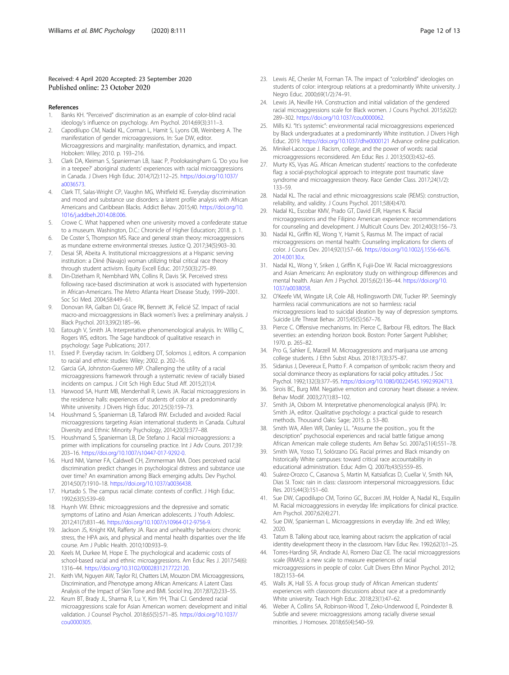#### <span id="page-11-0"></span>Received: 4 April 2020 Accepted: 23 September 2020 Published online: 23 October 2020

#### References

- 1. Banks KH. "Perceived" discrimination as an example of color-blind racial ideology's influence on psychology. Am Psychol. 2014;69(3):311–3.
- Capodilupo CM, Nadal KL, Corman L, Hamit S, Lyons OB, Weinberg A. The manifestation of gender microaggressions. In: Sue DW, editor. Microaggressions and marginality: manifestation, dynamics, and impact. Hoboken: Wiley; 2010. p. 193–216.
- 3. Clark DA, Kleiman S, Spanierman LB, Isaac P, Poolokasingham G. 'Do you live in a teepee?' aboriginal students' experiences with racial microaggressions in Canada. J Divers High Educ. 2014;7(2):112–25. [https://doi.org/10.1037/](https://doi.org/10.1037/a0036573) [a0036573.](https://doi.org/10.1037/a0036573)
- 4. Clark TT, Salas-Wright CP, Vaughn MG, Whitfield KE. Everyday discrimination and mood and substance use disorders: a latent profile analysis with African Americans and Caribbean Blacks. Addict Behav. 2015;40. [https://doi.org/10.](https://doi.org/10.1016/j.addbeh.2014.08.006) [1016/j.addbeh.2014.08.006.](https://doi.org/10.1016/j.addbeh.2014.08.006)
- 5. Crowe C. What happened when one university moved a confederate statue to a museum. Washington, D.C.: Chronicle of Higher Education; 2018. p. 1.
- De Coster S, Thompson MS. Race and general strain theory: microaggressions as mundane extreme environmental stresses. Justice Q. 2017;34(5):903–30.
- 7. Desai SR, Abeita A. Institutional microaggressions at a Hispanic serving institution: a Diné (Navajo) woman utilizing tribal critical race theory through student activism. Equity Excell Educ. 2017;50(3):275–89.
- 8. Din-Dzietham R, Nembhard WN, Collins R, Davis SK. Perceived stress following race-based discrimination at work is associated with hypertension in African-Americans. The Metro Atlanta Heart Disease Study, 1999–2001. Soc Sci Med. 2004;58:449–61.
- 9. Donovan RA, Galban DJ, Grace RK, Bennett JK, Felicié SZ. Impact of racial macro-and microaggressions in Black women's lives: a preliminary analysis. J Black Psychol. 2013;39(2):185–96.
- 10. Eatough V, Smith JA. Interpretative phenomenological analysis. In: Willig C, Rogers WS, editors. The Sage handbook of qualitative research in psychology: Sage Publications; 2017.
- 11. Essed P. Everyday racism. In: Goldberg DT, Solomos J, editors. A companion to racial and ethnic studies: Wiley; 2002. p. 202–16.
- 12. Garcia GA, Johnston-Guerrero MP. Challenging the utility of a racial microaggressions framework through a systematic review of racially biased incidents on campus. J Crit Sch High Educ Stud Aff. 2015;2(1):4.
- 13. Harwood SA, Huntt MB, Mendenhall R, Lewis JA. Racial microaggressions in the residence halls: experiences of students of color at a predominantly White university. J Divers High Educ. 2012;5(3):159–73.
- 14. Houshmand S, Spanierman LB, Tafarodi RW. Excluded and avoided: Racial microaggressions targeting Asian international students in Canada. Cultural Diversity and Ethnic Minority Psychology, 2014;20(3):377–88.
- 15. Houshmand S, Spanierman LB, De Stefano J. Racial microaggressions: a primer with implications for counseling practice. Int J Adv Couns. 2017;39: 203–16. <https://doi.org/10.1007/s10447-017-9292-0>.
- 16. Hurd NM, Varner FA, Caldwell CH, Zimmerman MA. Does perceived racial discrimination predict changes in psychological distress and substance use over time? An examination among Black emerging adults. Dev Psychol. 2014;50(7):1910–18. <https://doi.org/10.1037/a0036438>.
- 17. Hurtado S. The campus racial climate: contexts of conflict. J High Educ. 1992;63(5):539–69.
- 18. Huynh VW. Ethnic microaggressions and the depressive and somatic symptoms of Latino and Asian American adolescents. J Youth Adolesc. 2012;41(7):831–46. <https://doi.org/10.1007/s10964-012-9756-9>.
- 19. Jackson JS, Knight KM, Rafferty JA. Race and unhealthy behaviors: chronic stress, the HPA axis, and physical and mental health disparities over the life course. Am J Public Health. 2010;100:933–9.
- 20. Keels M, Durkee M, Hope E. The psychological and academic costs of school-based racial and ethnic microaggressions. Am Educ Res J. 2017;54(6): 1316–44. [https://doi.org/10.3102/0002831217722120.](https://doi.org/10.3102/0002831217722120)
- 21. Keith VM, Nguyen AW, Taylor RJ, Chatters LM, Mouzon DM. Microaggressions, Discrimination, and Phenotype among African Americans: A Latent Class Analysis of the Impact of Skin Tone and BMI. Sociol Inq. 2017;87(2):233–55.
- 22. Keum BT, Brady JL, Sharma R, Lu Y, Kim YH, Thai CJ. Gendered racial microaggressions scale for Asian American women: development and initial validation. J Counsel Psychol. 2018;65(5):571–85. [https://doi.org/10.1037/](https://doi.org/10.1037/cou0000305) [cou0000305](https://doi.org/10.1037/cou0000305).
- 23. Lewis AE, Chesler M, Forman TA. The impact of "colorblind" ideologies on students of color: intergroup relations at a predominantly White university. J Negro Educ. 2000;69(1/2):74–91.
- 24. Lewis JA, Neville HA. Construction and initial validation of the gendered racial microaggressions scale for Black women. J Couns Psychol. 2015;62(2): 289–302. [https://doi.org/10.1037/cou0000062.](https://doi.org/10.1037/cou0000062)
- 25. Mills KJ. "It's systemic": environmental racial microaggressions experienced by Black undergraduates at a predominantly White institution. J Divers High Educ. 2019. <https://doi.org/10.1037/dhe0000121> Advance online publication.
- 26. Minikel-Lacocque J. Racism, college, and the power of words: racial microaggressions reconsidered. Am Educ Res J. 2013;50(3):432–65.
- 27. Murty KS, Vyas AG. African American students' reactions to the confederate flag: a social-psychological approach to integrate post traumatic slave syndrome and microaggression theory. Race Gender Class. 2017;24(1/2): 133–59.
- 28. Nadal KL. The racial and ethnic microaggressions scale (REMS): construction, reliability, and validity. J Couns Psychol. 2011;58(4):470.
- 29. Nadal KL, Escobar KMV, Prado GT, David EJR, Haynes K. Racial microaggressions and the Filipino American experience: recommendations for counseling and development. J Multicult Couns Dev. 2012;40(3):156–73.
- 30. Nadal KL, Griffin KE, Wong Y, Hamit S, Rasmus M. The impact of racial microaggressions on mental health: Counseling implications for clients of color. J Couns Dev. 2014;92(1):57–66. [https://doi.org/10.1002/j.1556-6676.](https://doi.org/10.1002/j.1556-6676.2014.00130.x) [2014.00130.x.](https://doi.org/10.1002/j.1556-6676.2014.00130.x)
- 31. Nadal KL, Wong Y, Sriken J, Griffin K, Fujii-Doe W. Racial microaggressions and Asian Americans: An exploratory study on withingroup differences and mental health. Asian Am J Psychol. 2015;6(2):136–44. [https://doi.org/10.](https://doi.org/10.1037/a0038058) [1037/a0038058.](https://doi.org/10.1037/a0038058)
- 32. O'Keefe VM, Wingate LR, Cole AB, Hollingsworth DW, Tucker RP. Seemingly harmless racial communications are not so harmless: racial microaggressions lead to suicidal ideation by way of depression symptoms. Suicide Life Threat Behav. 2015;45(5):567–76.
- 33. Pierce C. Offensive mechanisms. In: Pierce C, Barbour FB, editors. The Black seventies: an extending horizon book. Boston: Porter Sargent Publisher; 1970. p. 265–82.
- 34. Pro G, Sahker E, Marzell M. Microaggressions and marijuana use among college students. J Ethn Subst Abus. 2018:17(3):375–87.
- 35. Sidanius J, Devereux E, Pratto F. A comparison of symbolic racism theory and social dominance theory as explanations for racial policy attitudes. J Soc Psychol. 1992;132(3):377–95. <https://doi.org/10.1080/00224545.1992.9924713>.
- 36. Sirois BC, Burg MM. Negative emotion and coronary heart disease: a review. Behav Modif. 2003;27(1):83–102.
- 37. Smith JA, Osborn M. Interpretative phenomenological analysis (IPA). In: Smith JA, editor. Qualitative psychology: a practical guide to research methods. Thousand Oaks: Sage; 2015. p. 53–80.
- 38. Smith WA, Allen WR, Danley LL. "Assume the position... you fit the description" psychosocial experiences and racial battle fatigue among African American male college students. Am Behav Sci. 2007a;51(4):551–78.
- 39. Smith WA, Yosso TJ, Solórzano DG. Racial primes and Black misandry on historically White campuses: toward critical race accountability in educational administration. Educ Adm Q. 2007b;43(5):559–85.
- 40. Suárez-Orozco C, Casanova S, Martin M, Katsiaficas D, Cuellar V, Smith NA, Dias SI. Toxic rain in class: classroom interpersonal microaggressions. Educ Res. 2015;44(3):151–60.
- 41. Sue DW, Capodilupo CM, Torino GC, Bucceri JM, Holder A, Nadal KL, Esquilin M. Racial microaggressions in everyday life: implications for clinical practice. Am Psychol. 2007;62(4):271.
- 42. Sue DW, Spanierman L. Microaggressions in everyday life. 2nd ed: Wiley; 2020.
- 43. Tatum B. Talking about race, learning about racism: the application of racial identity development theory in the classroom. Harv Educ Rev. 1992;62(1):1–25.
- 44. Torres-Harding SR, Andrade AJ, Romero Diaz CE. The racial microaggressions scale (RMAS): a new scale to measure experiences of racial microaggressions in people of color. Cult Divers Ethn Minor Psychol. 2012; 18(2):153–64.
- 45. Walls JK, Hall SS. A focus group study of African American students' experiences with classroom discussions about race at a predominantly White university. Teach High Educ. 2018;23(1):47–62.
- 46. Weber A, Collins SA, Robinson-Wood T, Zeko-Underwood E, Poindexter B. Subtle and severe: microaggressions among racially diverse sexual minorities. J Homosex. 2018;65(4):540–59.